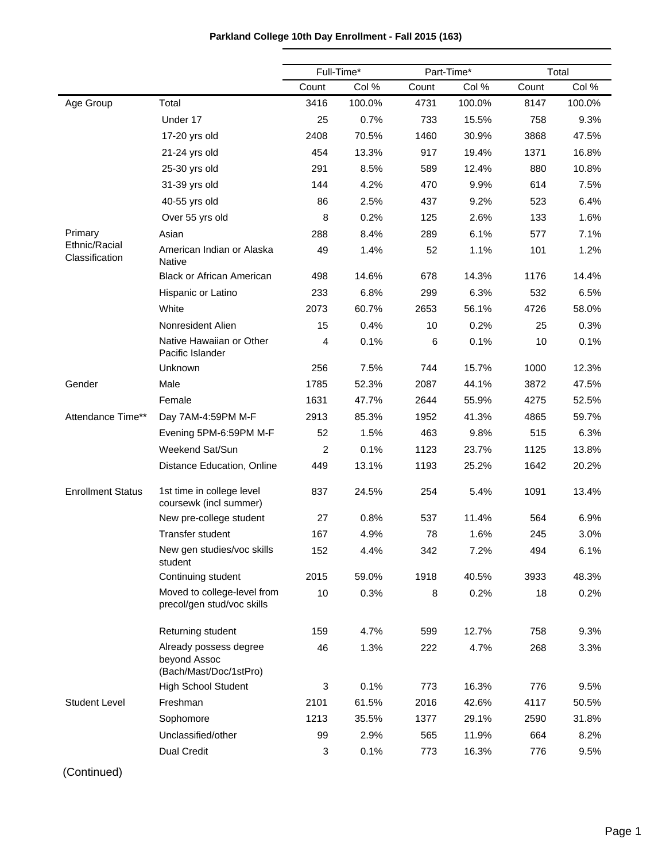|                                 |                                                                  | Full-Time* |        |       | Part-Time* |       | Total  |  |
|---------------------------------|------------------------------------------------------------------|------------|--------|-------|------------|-------|--------|--|
|                                 |                                                                  | Count      | Col %  | Count | Col %      | Count | Col %  |  |
| Age Group                       | Total                                                            | 3416       | 100.0% | 4731  | 100.0%     | 8147  | 100.0% |  |
|                                 | Under 17                                                         | 25         | 0.7%   | 733   | 15.5%      | 758   | 9.3%   |  |
|                                 | 17-20 yrs old                                                    | 2408       | 70.5%  | 1460  | 30.9%      | 3868  | 47.5%  |  |
|                                 | 21-24 yrs old                                                    | 454        | 13.3%  | 917   | 19.4%      | 1371  | 16.8%  |  |
|                                 | 25-30 yrs old                                                    | 291        | 8.5%   | 589   | 12.4%      | 880   | 10.8%  |  |
|                                 | 31-39 yrs old                                                    | 144        | 4.2%   | 470   | 9.9%       | 614   | 7.5%   |  |
|                                 | 40-55 yrs old                                                    | 86         | 2.5%   | 437   | 9.2%       | 523   | 6.4%   |  |
|                                 | Over 55 yrs old                                                  | 8          | 0.2%   | 125   | 2.6%       | 133   | 1.6%   |  |
| Primary                         | Asian                                                            | 288        | 8.4%   | 289   | 6.1%       | 577   | 7.1%   |  |
| Ethnic/Racial<br>Classification | American Indian or Alaska<br>Native                              | 49         | 1.4%   | 52    | 1.1%       | 101   | 1.2%   |  |
|                                 | <b>Black or African American</b>                                 | 498        | 14.6%  | 678   | 14.3%      | 1176  | 14.4%  |  |
|                                 | Hispanic or Latino                                               | 233        | 6.8%   | 299   | 6.3%       | 532   | 6.5%   |  |
|                                 | White                                                            | 2073       | 60.7%  | 2653  | 56.1%      | 4726  | 58.0%  |  |
|                                 | Nonresident Alien                                                | 15         | 0.4%   | 10    | 0.2%       | 25    | 0.3%   |  |
|                                 | Native Hawaiian or Other<br>Pacific Islander                     | 4          | 0.1%   | 6     | 0.1%       | 10    | 0.1%   |  |
|                                 | Unknown                                                          | 256        | 7.5%   | 744   | 15.7%      | 1000  | 12.3%  |  |
| Gender                          | Male                                                             | 1785       | 52.3%  | 2087  | 44.1%      | 3872  | 47.5%  |  |
|                                 | Female                                                           | 1631       | 47.7%  | 2644  | 55.9%      | 4275  | 52.5%  |  |
| Attendance Time**               | Day 7AM-4:59PM M-F                                               | 2913       | 85.3%  | 1952  | 41.3%      | 4865  | 59.7%  |  |
|                                 | Evening 5PM-6:59PM M-F                                           | 52         | 1.5%   | 463   | 9.8%       | 515   | 6.3%   |  |
|                                 | Weekend Sat/Sun                                                  | 2          | 0.1%   | 1123  | 23.7%      | 1125  | 13.8%  |  |
|                                 | Distance Education, Online                                       | 449        | 13.1%  | 1193  | 25.2%      | 1642  | 20.2%  |  |
| <b>Enrollment Status</b>        | 1st time in college level<br>coursewk (incl summer)              | 837        | 24.5%  | 254   | 5.4%       | 1091  | 13.4%  |  |
|                                 | New pre-college student                                          | 27         | 0.8%   | 537   | 11.4%      | 564   | 6.9%   |  |
|                                 | Transfer student                                                 | 167        | 4.9%   | 78    | 1.6%       | 245   | 3.0%   |  |
|                                 | New gen studies/voc skills<br>student                            | 152        | 4.4%   | 342   | 7.2%       | 494   | 6.1%   |  |
|                                 | Continuing student                                               | 2015       | 59.0%  | 1918  | 40.5%      | 3933  | 48.3%  |  |
|                                 | Moved to college-level from<br>precol/gen stud/voc skills        | 10         | 0.3%   | 8     | 0.2%       | 18    | 0.2%   |  |
|                                 | Returning student                                                | 159        | 4.7%   | 599   | 12.7%      | 758   | 9.3%   |  |
|                                 | Already possess degree<br>beyond Assoc<br>(Bach/Mast/Doc/1stPro) | 46         | 1.3%   | 222   | 4.7%       | 268   | 3.3%   |  |
|                                 | <b>High School Student</b>                                       | 3          | 0.1%   | 773   | 16.3%      | 776   | 9.5%   |  |
| <b>Student Level</b>            | Freshman                                                         | 2101       | 61.5%  | 2016  | 42.6%      | 4117  | 50.5%  |  |
|                                 | Sophomore                                                        | 1213       | 35.5%  | 1377  | 29.1%      | 2590  | 31.8%  |  |
|                                 | Unclassified/other                                               | 99         | 2.9%   | 565   | 11.9%      | 664   | 8.2%   |  |
|                                 | <b>Dual Credit</b>                                               | 3          | 0.1%   | 773   | 16.3%      | 776   | 9.5%   |  |

## **Parkland College 10th Day Enrollment - Fall 2015 (163)**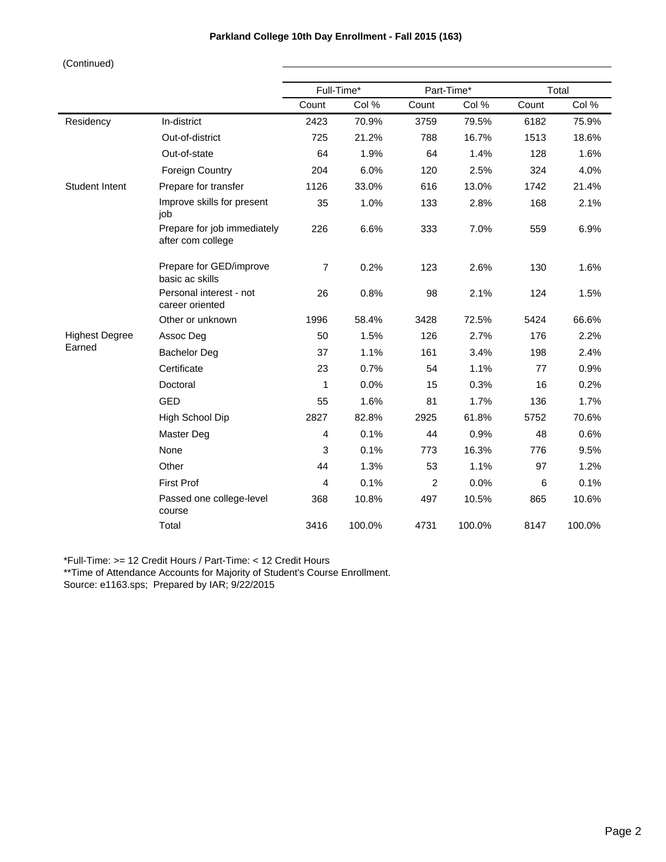|                       |                                                  |                | Full-Time* | Part-Time* |        |       | Total  |
|-----------------------|--------------------------------------------------|----------------|------------|------------|--------|-------|--------|
|                       |                                                  | Count          | Col %      | Count      | Col %  | Count | Col %  |
| Residency             | In-district                                      | 2423           | 70.9%      | 3759       | 79.5%  | 6182  | 75.9%  |
|                       | Out-of-district                                  | 725            | 21.2%      | 788        | 16.7%  | 1513  | 18.6%  |
|                       | Out-of-state                                     | 64             | 1.9%       | 64         | 1.4%   | 128   | 1.6%   |
|                       | <b>Foreign Country</b>                           | 204            | 6.0%       | 120        | 2.5%   | 324   | 4.0%   |
| Student Intent        | Prepare for transfer                             | 1126           | 33.0%      | 616        | 13.0%  | 1742  | 21.4%  |
|                       | Improve skills for present<br>job                | 35             | 1.0%       | 133        | 2.8%   | 168   | 2.1%   |
|                       | Prepare for job immediately<br>after com college | 226            | 6.6%       | 333        | 7.0%   | 559   | 6.9%   |
|                       | Prepare for GED/improve<br>basic ac skills       | $\overline{7}$ | 0.2%       | 123        | 2.6%   | 130   | 1.6%   |
|                       | Personal interest - not<br>career oriented       | 26             | 0.8%       | 98         | 2.1%   | 124   | 1.5%   |
|                       | Other or unknown                                 | 1996           | 58.4%      | 3428       | 72.5%  | 5424  | 66.6%  |
| <b>Highest Degree</b> | Assoc Deg                                        | 50             | 1.5%       | 126        | 2.7%   | 176   | 2.2%   |
| Earned                | <b>Bachelor Deg</b>                              | 37             | 1.1%       | 161        | 3.4%   | 198   | 2.4%   |
|                       | Certificate                                      | 23             | 0.7%       | 54         | 1.1%   | 77    | 0.9%   |
|                       | Doctoral                                         | 1              | 0.0%       | 15         | 0.3%   | 16    | 0.2%   |
|                       | <b>GED</b>                                       | 55             | 1.6%       | 81         | 1.7%   | 136   | 1.7%   |
|                       | High School Dip                                  | 2827           | 82.8%      | 2925       | 61.8%  | 5752  | 70.6%  |
|                       | Master Deg                                       | 4              | 0.1%       | 44         | 0.9%   | 48    | 0.6%   |
|                       | None                                             | 3              | 0.1%       | 773        | 16.3%  | 776   | 9.5%   |
|                       | Other                                            | 44             | 1.3%       | 53         | 1.1%   | 97    | 1.2%   |
|                       | <b>First Prof</b>                                | 4              | 0.1%       | 2          | 0.0%   | 6     | 0.1%   |
|                       | Passed one college-level<br>course               | 368            | 10.8%      | 497        | 10.5%  | 865   | 10.6%  |
|                       | Total                                            | 3416           | 100.0%     | 4731       | 100.0% | 8147  | 100.0% |

\*Full-Time: >= 12 Credit Hours / Part-Time: < 12 Credit Hours

\*\*Time of Attendance Accounts for Majority of Student's Course Enrollment. Source: e1163.sps; Prepared by IAR; 9/22/2015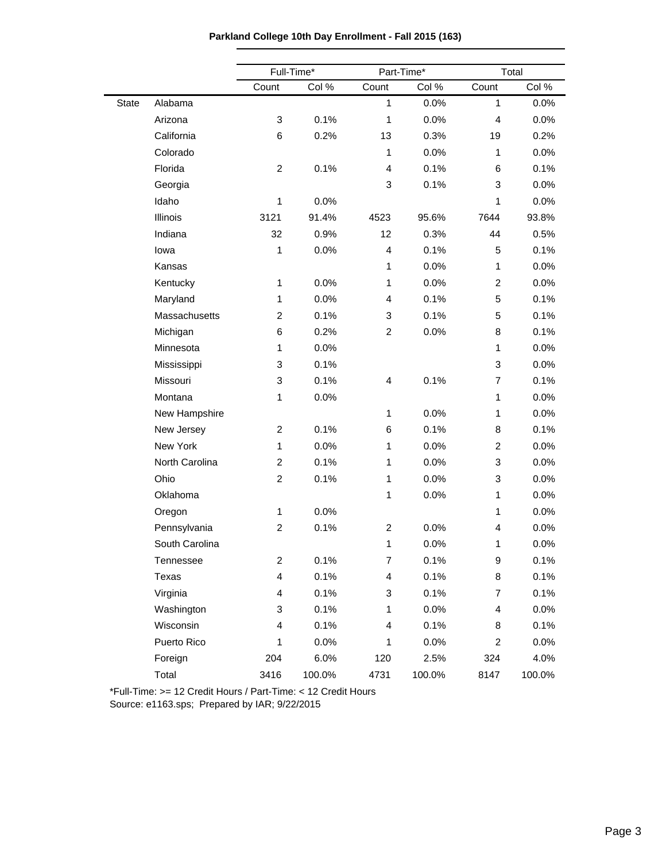| Parkland College 10th Day Enrollment - Fall 2015 (163) |  |  |  |  |
|--------------------------------------------------------|--|--|--|--|
|--------------------------------------------------------|--|--|--|--|

|       |                |                         | Full-Time* |                | Part-Time* | Total                   |        |
|-------|----------------|-------------------------|------------|----------------|------------|-------------------------|--------|
|       |                | Count                   | Col %      | Count          | Col %      | Count                   | Col %  |
| State | Alabama        |                         |            | $\mathbf{1}$   | 0.0%       | $\mathbf{1}$            | 0.0%   |
|       | Arizona        | 3                       | 0.1%       | $\mathbf{1}$   | 0.0%       | $\overline{4}$          | 0.0%   |
|       | California     | 6                       | 0.2%       | 13             | 0.3%       | 19                      | 0.2%   |
|       | Colorado       |                         |            | $\mathbf{1}$   | 0.0%       | 1                       | 0.0%   |
|       | Florida        | $\overline{c}$          | 0.1%       | 4              | 0.1%       | 6                       | 0.1%   |
|       | Georgia        |                         |            | 3              | 0.1%       | 3                       | 0.0%   |
|       | Idaho          | 1                       | 0.0%       |                |            | 1                       | 0.0%   |
|       | Illinois       | 3121                    | 91.4%      | 4523           | 95.6%      | 7644                    | 93.8%  |
|       | Indiana        | 32                      | 0.9%       | 12             | 0.3%       | 44                      | 0.5%   |
|       | lowa           | 1                       | 0.0%       | 4              | 0.1%       | 5                       | 0.1%   |
|       | Kansas         |                         |            | $\mathbf{1}$   | 0.0%       | $\mathbf{1}$            | 0.0%   |
|       | Kentucky       | 1                       | 0.0%       | $\mathbf{1}$   | 0.0%       | $\overline{c}$          | 0.0%   |
|       | Maryland       | 1                       | 0.0%       | 4              | 0.1%       | 5                       | 0.1%   |
|       | Massachusetts  | $\overline{c}$          | 0.1%       | 3              | 0.1%       | 5                       | 0.1%   |
|       | Michigan       | 6                       | 0.2%       | $\overline{c}$ | 0.0%       | 8                       | 0.1%   |
|       | Minnesota      | 1                       | 0.0%       |                |            | $\mathbf{1}$            | 0.0%   |
|       | Mississippi    | 3                       | 0.1%       |                |            | 3                       | 0.0%   |
|       | Missouri       | 3                       | 0.1%       | 4              | 0.1%       | $\overline{7}$          | 0.1%   |
|       | Montana        | 1                       | 0.0%       |                |            | $\mathbf{1}$            | 0.0%   |
|       | New Hampshire  |                         |            | $\mathbf{1}$   | 0.0%       | 1                       | 0.0%   |
|       | New Jersey     | $\overline{c}$          | 0.1%       | 6              | 0.1%       | 8                       | 0.1%   |
|       | New York       | $\mathbf{1}$            | 0.0%       | $\mathbf{1}$   | 0.0%       | $\overline{c}$          | 0.0%   |
|       | North Carolina | $\overline{\mathbf{c}}$ | 0.1%       | $\mathbf{1}$   | 0.0%       | 3                       | 0.0%   |
|       | Ohio           | $\overline{c}$          | 0.1%       | $\mathbf{1}$   | 0.0%       | 3                       | 0.0%   |
|       | Oklahoma       |                         |            | $\mathbf{1}$   | 0.0%       | $\mathbf{1}$            | 0.0%   |
|       | Oregon         | 1                       | 0.0%       |                |            | 1                       | 0.0%   |
|       | Pennsylvania   | 2                       | 0.1%       | $\overline{c}$ | 0.0%       | 4                       | 0.0%   |
|       | South Carolina |                         |            | $\mathbf{1}$   | 0.0%       | 1                       | 0.0%   |
|       | Tennessee      | $\overline{c}$          | 0.1%       | $\overline{7}$ | 0.1%       | $\boldsymbol{9}$        | 0.1%   |
|       | Texas          | 4                       | 0.1%       | 4              | 0.1%       | 8                       | 0.1%   |
|       | Virginia       | 4                       | 0.1%       | 3              | 0.1%       | $\overline{7}$          | 0.1%   |
|       | Washington     | 3                       | 0.1%       | $\mathbf{1}$   | 0.0%       | $\overline{\mathbf{4}}$ | 0.0%   |
|       | Wisconsin      | 4                       | 0.1%       | 4              | 0.1%       | 8                       | 0.1%   |
|       | Puerto Rico    | 1                       | 0.0%       | $\mathbf{1}$   | 0.0%       | $\overline{2}$          | 0.0%   |
|       | Foreign        | 204                     | 6.0%       | 120            | 2.5%       | 324                     | 4.0%   |
|       | Total          | 3416                    | 100.0%     | 4731           | 100.0%     | 8147                    | 100.0% |

\*Full-Time: >= 12 Credit Hours / Part-Time: < 12 Credit Hours

Source: e1163.sps; Prepared by IAR; 9/22/2015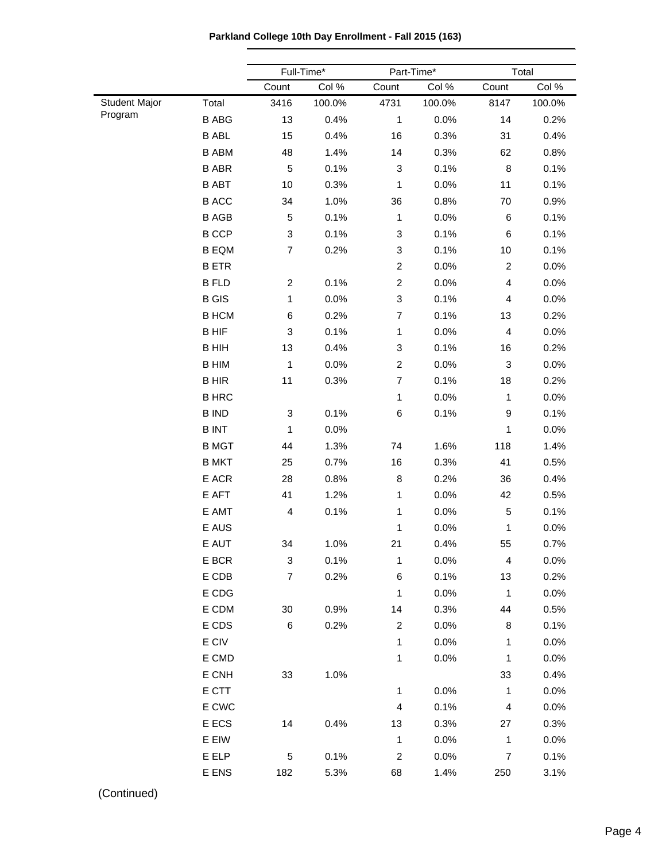**Parkland College 10th Day Enrollment - Fall 2015 (163)**

|                      |              |                           | Full-Time* |                         | Part-Time* |                           | Total  |  |
|----------------------|--------------|---------------------------|------------|-------------------------|------------|---------------------------|--------|--|
|                      |              | Count                     | Col %      | Count                   | Col %      | Count                     | Col %  |  |
| <b>Student Major</b> | Total        | 3416                      | 100.0%     | 4731                    | 100.0%     | 8147                      | 100.0% |  |
| Program              | <b>B ABG</b> | 13                        | 0.4%       | 1                       | 0.0%       | 14                        | 0.2%   |  |
|                      | <b>B ABL</b> | 15                        | 0.4%       | 16                      | 0.3%       | 31                        | 0.4%   |  |
|                      | <b>B ABM</b> | 48                        | 1.4%       | 14                      | 0.3%       | 62                        | 0.8%   |  |
|                      | <b>B ABR</b> | $\,$ 5 $\,$               | 0.1%       | 3                       | 0.1%       | $\, 8$                    | 0.1%   |  |
|                      | <b>B ABT</b> | $10$                      | 0.3%       | $\mathbf{1}$            | 0.0%       | 11                        | 0.1%   |  |
|                      | <b>B ACC</b> | 34                        | 1.0%       | 36                      | 0.8%       | 70                        | 0.9%   |  |
|                      | <b>BAGB</b>  | $\,$ 5 $\,$               | 0.1%       | $\mathbf{1}$            | 0.0%       | $\,6\,$                   | 0.1%   |  |
|                      | <b>B</b> CCP | $\ensuremath{\mathsf{3}}$ | 0.1%       | 3                       | 0.1%       | 6                         | 0.1%   |  |
|                      | <b>B EQM</b> | $\overline{7}$            | 0.2%       | 3                       | 0.1%       | 10                        | 0.1%   |  |
|                      | <b>BETR</b>  |                           |            | $\overline{a}$          | 0.0%       | $\overline{c}$            | 0.0%   |  |
|                      | <b>B FLD</b> | $\overline{c}$            | 0.1%       | $\overline{a}$          | 0.0%       | 4                         | 0.0%   |  |
|                      | <b>B</b> GIS | 1                         | 0.0%       | 3                       | 0.1%       | 4                         | 0.0%   |  |
|                      | <b>B HCM</b> | 6                         | 0.2%       | $\overline{7}$          | 0.1%       | 13                        | 0.2%   |  |
|                      | <b>BHIF</b>  | 3                         | 0.1%       | $\mathbf{1}$            | 0.0%       | $\overline{\mathbf{4}}$   | 0.0%   |  |
|                      | <b>B HIH</b> | 13                        | 0.4%       | 3                       | 0.1%       | 16                        | 0.2%   |  |
|                      | <b>B HIM</b> | $\mathbf{1}$              | 0.0%       | $\overline{a}$          | 0.0%       | $\ensuremath{\mathsf{3}}$ | 0.0%   |  |
|                      | <b>BHIR</b>  | 11                        | 0.3%       | $\overline{7}$          | 0.1%       | 18                        | 0.2%   |  |
|                      | <b>B HRC</b> |                           |            | $\mathbf{1}$            | 0.0%       | $\mathbf{1}$              | 0.0%   |  |
|                      | <b>B IND</b> | $\ensuremath{\mathsf{3}}$ | 0.1%       | 6                       | 0.1%       | 9                         | 0.1%   |  |
|                      | <b>BINT</b>  | 1                         | 0.0%       |                         |            | $\mathbf{1}$              | 0.0%   |  |
|                      | <b>B MGT</b> | 44                        | 1.3%       | 74                      | 1.6%       | 118                       | 1.4%   |  |
|                      | <b>B MKT</b> | 25                        | 0.7%       | 16                      | 0.3%       | 41                        | 0.5%   |  |
|                      | E ACR        | 28                        | 0.8%       | 8                       | 0.2%       | 36                        | 0.4%   |  |
|                      | E AFT        | 41                        | 1.2%       | 1                       | 0.0%       | 42                        | 0.5%   |  |
|                      | E AMT        | $\overline{\mathbf{4}}$   | 0.1%       | 1                       | 0.0%       | $\,$ 5 $\,$               | 0.1%   |  |
|                      | E AUS        |                           |            | 1                       | 0.0%       | $\mathbf{1}$              | 0.0%   |  |
|                      | E AUT        | 34                        | 1.0%       | 21                      | 0.4%       | 55                        | 0.7%   |  |
|                      | E BCR        | 3                         | 0.1%       | 1                       | 0.0%       | 4                         | 0.0%   |  |
|                      | E CDB        | $\overline{7}$            | 0.2%       | 6                       | 0.1%       | 13                        | 0.2%   |  |
|                      | E CDG        |                           |            | $\mathbf{1}$            | 0.0%       | $\mathbf{1}$              | 0.0%   |  |
|                      | E CDM        | $30\,$                    | 0.9%       | 14                      | 0.3%       | 44                        | 0.5%   |  |
|                      | E CDS        | 6                         | 0.2%       | $\overline{\mathbf{c}}$ | 0.0%       | 8                         | 0.1%   |  |
|                      | E CIV        |                           |            | 1                       | 0.0%       | 1                         | 0.0%   |  |
|                      | E CMD        |                           |            | 1                       | 0.0%       | $\mathbf{1}$              | 0.0%   |  |
|                      | E CNH        | 33                        | 1.0%       |                         |            | 33                        | 0.4%   |  |
|                      | E CTT        |                           |            | 1                       | 0.0%       | $\mathbf{1}$              | 0.0%   |  |
|                      | E CWC        |                           |            | 4                       | 0.1%       | $\overline{4}$            | 0.0%   |  |
|                      | E ECS        | 14                        | 0.4%       | 13                      | 0.3%       | 27                        | 0.3%   |  |
|                      | E EIW        |                           |            | $\mathbf{1}$            | 0.0%       | $\mathbf{1}$              | 0.0%   |  |
|                      | E ELP        | 5                         | 0.1%       | $\overline{\mathbf{c}}$ | 0.0%       | $\overline{7}$            | 0.1%   |  |
|                      | E ENS        | 182                       | 5.3%       | 68                      | 1.4%       | 250                       | 3.1%   |  |
|                      |              |                           |            |                         |            |                           |        |  |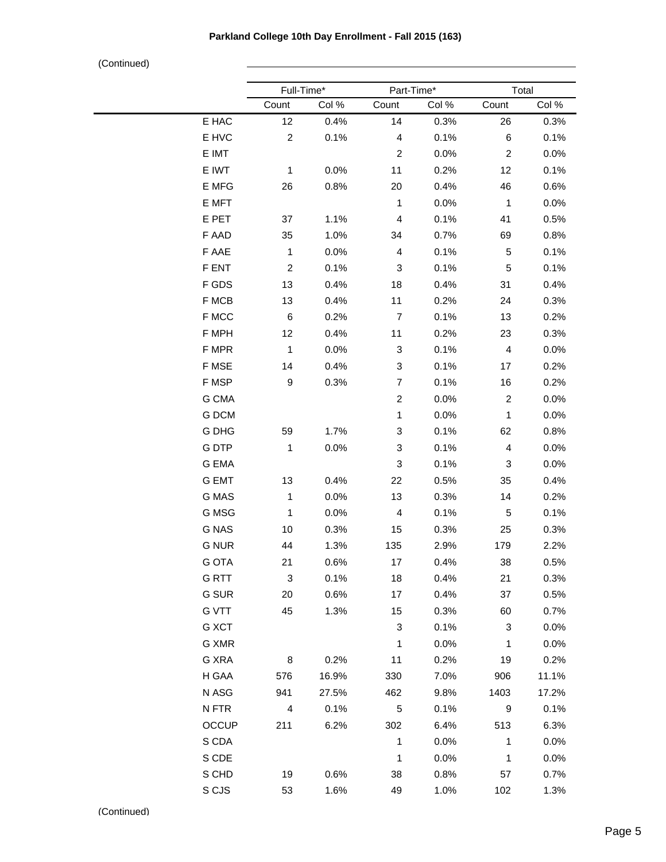|              | Full-Time*       |       | Part-Time*                |       | Total          |       |  |
|--------------|------------------|-------|---------------------------|-------|----------------|-------|--|
|              | Count            | Col % | Count                     | Col % | Count          | Col % |  |
| E HAC        | 12               | 0.4%  | 14                        | 0.3%  | 26             | 0.3%  |  |
| E HVC        | $\overline{c}$   | 0.1%  | $\overline{4}$            | 0.1%  | $\,6$          | 0.1%  |  |
| E IMT        |                  |       | $\boldsymbol{2}$          | 0.0%  | $\overline{c}$ | 0.0%  |  |
| E IWT        | 1                | 0.0%  | 11                        | 0.2%  | 12             | 0.1%  |  |
| E MFG        | 26               | 0.8%  | 20                        | 0.4%  | 46             | 0.6%  |  |
| E MFT        |                  |       | $\mathbf{1}$              | 0.0%  | $\mathbf{1}$   | 0.0%  |  |
| E PET        | 37               | 1.1%  | $\overline{\mathbf{4}}$   | 0.1%  | 41             | 0.5%  |  |
| F AAD        | 35               | 1.0%  | 34                        | 0.7%  | 69             | 0.8%  |  |
| F AAE        | 1                | 0.0%  | $\overline{4}$            | 0.1%  | 5              | 0.1%  |  |
| F ENT        | $\boldsymbol{2}$ | 0.1%  | $\ensuremath{\mathsf{3}}$ | 0.1%  | 5              | 0.1%  |  |
| F GDS        | 13               | 0.4%  | 18                        | 0.4%  | 31             | 0.4%  |  |
| F MCB        | 13               | 0.4%  | 11                        | 0.2%  | 24             | 0.3%  |  |
| F MCC        | $\,6\,$          | 0.2%  | 7                         | 0.1%  | 13             | 0.2%  |  |
| F MPH        | 12               | 0.4%  | 11                        | 0.2%  | 23             | 0.3%  |  |
| F MPR        | $\mathbf{1}$     | 0.0%  | $\ensuremath{\mathsf{3}}$ | 0.1%  | $\overline{4}$ | 0.0%  |  |
| F MSE        | 14               | 0.4%  | $\ensuremath{\mathsf{3}}$ | 0.1%  | 17             | 0.2%  |  |
| F MSP        | 9                | 0.3%  | $\overline{7}$            | 0.1%  | 16             | 0.2%  |  |
| G CMA        |                  |       | $\overline{c}$            | 0.0%  | $\overline{c}$ | 0.0%  |  |
| G DCM        |                  |       | $\mathbf{1}$              | 0.0%  | $\mathbf{1}$   | 0.0%  |  |
| G DHG        | 59               | 1.7%  | 3                         | 0.1%  | 62             | 0.8%  |  |
| G DTP        | 1                | 0.0%  | $\ensuremath{\mathsf{3}}$ | 0.1%  | 4              | 0.0%  |  |
| <b>G EMA</b> |                  |       | 3                         | 0.1%  | 3              | 0.0%  |  |
| <b>G EMT</b> | $13$             | 0.4%  | 22                        | 0.5%  | 35             | 0.4%  |  |
| G MAS        | 1                | 0.0%  | 13                        | 0.3%  | 14             | 0.2%  |  |
| G MSG        | 1                | 0.0%  | $\overline{\mathbf{4}}$   | 0.1%  | $\,$ 5 $\,$    | 0.1%  |  |
| <b>G NAS</b> | 10               | 0.3%  | 15                        | 0.3%  | 25             | 0.3%  |  |
| <b>G NUR</b> | 44               | 1.3%  | 135                       | 2.9%  | 179            | 2.2%  |  |
| G OTA        | 21               | 0.6%  | 17                        | 0.4%  | 38             | 0.5%  |  |
| G RTT        | 3                | 0.1%  | 18                        | 0.4%  | 21             | 0.3%  |  |
| G SUR        | 20               | 0.6%  | 17                        | 0.4%  | 37             | 0.5%  |  |
| <b>G VTT</b> | 45               | 1.3%  | 15                        | 0.3%  | 60             | 0.7%  |  |
| G XCT        |                  |       | $\sqrt{3}$                | 0.1%  | 3              | 0.0%  |  |
| G XMR        |                  |       | $\mathbf{1}$              | 0.0%  | $\mathbf{1}$   | 0.0%  |  |
| G XRA        | 8                | 0.2%  | 11                        | 0.2%  | 19             | 0.2%  |  |
| H GAA        | 576              | 16.9% | 330                       | 7.0%  | 906            | 11.1% |  |
| N ASG        | 941              | 27.5% | 462                       | 9.8%  | 1403           | 17.2% |  |
| N FTR        | $\overline{4}$   | 0.1%  | $\sqrt{5}$                | 0.1%  | 9              | 0.1%  |  |
| OCCUP        | 211              | 6.2%  | 302                       | 6.4%  | 513            | 6.3%  |  |
| S CDA        |                  |       | $\mathbf{1}$              | 0.0%  | $\mathbf{1}$   | 0.0%  |  |
| S CDE        |                  |       | $\mathbf{1}$              | 0.0%  | $\mathbf{1}$   | 0.0%  |  |
| S CHD        | 19               | 0.6%  | 38                        | 0.8%  | 57             | 0.7%  |  |
| S CJS        | 53               | 1.6%  | 49                        | 1.0%  | 102            | 1.3%  |  |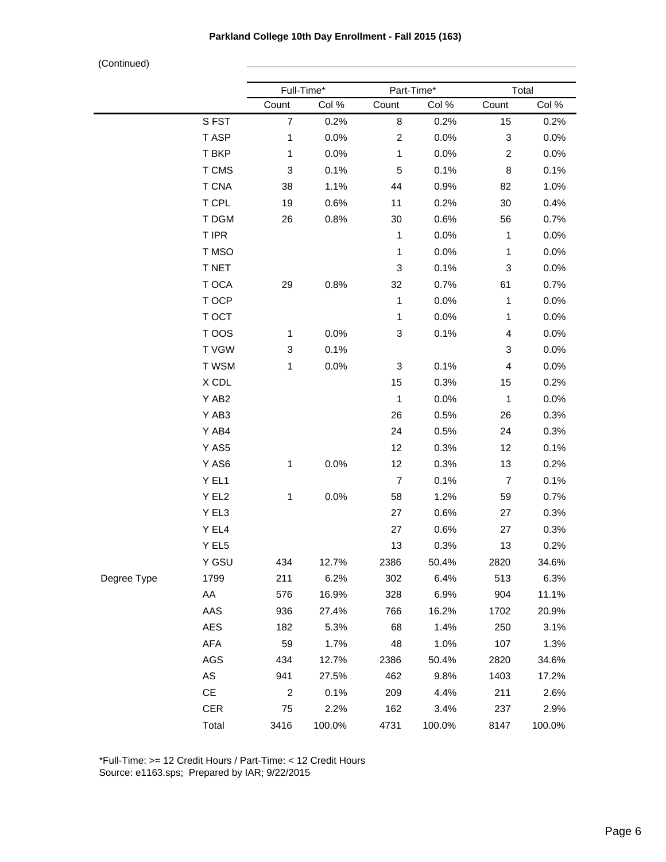|             |               | Full-Time*                |        |                | Part-Time* |                           | Total  |
|-------------|---------------|---------------------------|--------|----------------|------------|---------------------------|--------|
|             |               | Count                     | Col %  | Count          | Col %      | Count                     | Col %  |
|             | SFST          | $\overline{7}$            | 0.2%   | 8              | 0.2%       | 15                        | 0.2%   |
|             | T ASP         | $\mathbf{1}$              | 0.0%   | $\overline{c}$ | 0.0%       | $\ensuremath{\mathsf{3}}$ | 0.0%   |
|             | T BKP         | $\mathbf{1}$              | 0.0%   | $\mathbf{1}$   | 0.0%       | $\overline{c}$            | 0.0%   |
|             | T CMS         | $\ensuremath{\mathsf{3}}$ | 0.1%   | 5              | 0.1%       | 8                         | 0.1%   |
|             | <b>T CNA</b>  | 38                        | 1.1%   | 44             | 0.9%       | 82                        | 1.0%   |
|             | T CPL         | 19                        | 0.6%   | 11             | 0.2%       | 30                        | 0.4%   |
|             | T DGM         | 26                        | 0.8%   | 30             | 0.6%       | 56                        | 0.7%   |
|             | T IPR         |                           |        | $\mathbf{1}$   | 0.0%       | $\mathbf{1}$              | 0.0%   |
|             | T MSO         |                           |        | $\mathbf{1}$   | 0.0%       | $\mathbf{1}$              | 0.0%   |
|             | T NET         |                           |        | 3              | 0.1%       | $\ensuremath{\mathsf{3}}$ | 0.0%   |
|             | T OCA         | 29                        | 0.8%   | 32             | 0.7%       | 61                        | 0.7%   |
|             | T OCP         |                           |        | $\mathbf{1}$   | 0.0%       | $\mathbf{1}$              | 0.0%   |
|             | T OCT         |                           |        | $\mathbf{1}$   | 0.0%       | $\mathbf{1}$              | 0.0%   |
|             | T OOS         | $\mathbf{1}$              | 0.0%   | 3              | 0.1%       | 4                         | 0.0%   |
|             | T VGW         | 3                         | 0.1%   |                |            | $\ensuremath{\mathsf{3}}$ | 0.0%   |
|             | T WSM         | $\mathbf{1}$              | 0.0%   | 3              | 0.1%       | 4                         | 0.0%   |
|             | X CDL         |                           |        | 15             | 0.3%       | 15                        | 0.2%   |
|             | Y AB2         |                           |        | $\mathbf{1}$   | 0.0%       | $\mathbf{1}$              | 0.0%   |
|             | Y AB3         |                           |        | 26             | 0.5%       | 26                        | 0.3%   |
|             | Y AB4         |                           |        | 24             | 0.5%       | 24                        | 0.3%   |
|             | Y AS5         |                           |        | 12             | 0.3%       | 12                        | 0.1%   |
|             | Y AS6         | $\mathbf{1}$              | 0.0%   | 12             | 0.3%       | 13                        | 0.2%   |
|             | Y EL1         |                           |        | $\overline{7}$ | 0.1%       | $\overline{7}$            | 0.1%   |
|             | Y EL2         | $\mathbf{1}$              | 0.0%   | 58             | 1.2%       | 59                        | 0.7%   |
|             | Y EL3         |                           |        | 27             | 0.6%       | 27                        | 0.3%   |
|             | Y EL4         |                           |        | 27             | 0.6%       | 27                        | 0.3%   |
|             | Y EL5         |                           |        | 13             | 0.3%       | 13                        | 0.2%   |
|             | Y GSU         | 434                       | 12.7%  | 2386           | 50.4%      | 2820                      | 34.6%  |
| Degree Type | 1799          | 211                       | 6.2%   | 302            | 6.4%       | 513                       | 6.3%   |
|             | AA            | 576                       | 16.9%  | 328            | 6.9%       | 904                       | 11.1%  |
|             | AAS           | 936                       | 27.4%  | 766            | 16.2%      | 1702                      | 20.9%  |
|             | AES           | 182                       | 5.3%   | 68             | 1.4%       | 250                       | 3.1%   |
|             | AFA           | 59                        | 1.7%   | 48             | 1.0%       | 107                       | 1.3%   |
|             | <b>AGS</b>    | 434                       | 12.7%  | 2386           | 50.4%      | 2820                      | 34.6%  |
|             | $\mathsf{AS}$ | 941                       | 27.5%  | 462            | 9.8%       | 1403                      | 17.2%  |
|             | $\mathsf{CE}$ | $\overline{2}$            | 0.1%   | 209            | 4.4%       | 211                       | 2.6%   |
|             | <b>CER</b>    | 75                        | 2.2%   | 162            | 3.4%       | 237                       | 2.9%   |
|             | Total         | 3416                      | 100.0% | 4731           | 100.0%     | 8147                      | 100.0% |

\*Full-Time: >= 12 Credit Hours / Part-Time: < 12 Credit Hours Source: e1163.sps; Prepared by IAR; 9/22/2015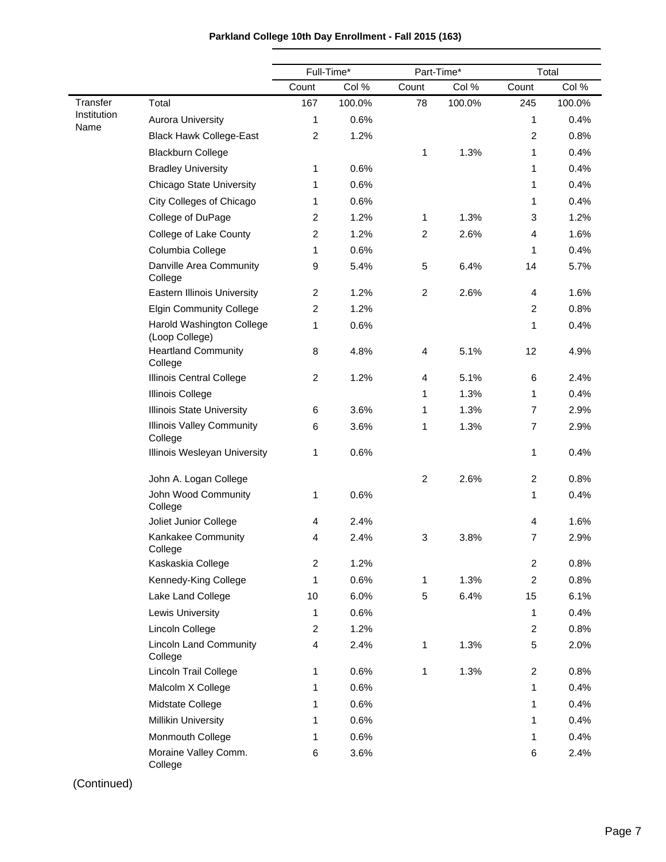|                     |                                             | Full-Time*     |        | Part-Time*       |        | Total            |        |
|---------------------|---------------------------------------------|----------------|--------|------------------|--------|------------------|--------|
|                     |                                             | Count          | Col %  | Count            | Col %  | Count            | Col %  |
| Transfer            | Total                                       | 167            | 100.0% | 78               | 100.0% | 245              | 100.0% |
| Institution<br>Name | <b>Aurora University</b>                    | 1              | 0.6%   |                  |        | 1                | 0.4%   |
|                     | <b>Black Hawk College-East</b>              | $\overline{c}$ | 1.2%   |                  |        | $\overline{c}$   | 0.8%   |
|                     | <b>Blackburn College</b>                    |                |        | 1                | 1.3%   | 1                | 0.4%   |
|                     | <b>Bradley University</b>                   | 1              | 0.6%   |                  |        | 1                | 0.4%   |
|                     | <b>Chicago State University</b>             | 1              | 0.6%   |                  |        | 1                | 0.4%   |
|                     | City Colleges of Chicago                    | 1              | 0.6%   |                  |        | 1                | 0.4%   |
|                     | College of DuPage                           | $\overline{2}$ | 1.2%   | 1                | 1.3%   | 3                | 1.2%   |
|                     | College of Lake County                      | $\overline{c}$ | 1.2%   | $\overline{2}$   | 2.6%   | 4                | 1.6%   |
|                     | Columbia College                            | 1              | 0.6%   |                  |        | 1                | 0.4%   |
|                     | Danville Area Community<br>College          | 9              | 5.4%   | 5                | 6.4%   | 14               | 5.7%   |
|                     | <b>Eastern Illinois University</b>          | $\overline{c}$ | 1.2%   | $\overline{c}$   | 2.6%   | 4                | 1.6%   |
|                     | <b>Elgin Community College</b>              | $\overline{c}$ | 1.2%   |                  |        | $\overline{c}$   | 0.8%   |
|                     | Harold Washington College<br>(Loop College) | 1              | 0.6%   |                  |        | 1                | 0.4%   |
|                     | <b>Heartland Community</b><br>College       | 8              | 4.8%   | $\overline{4}$   | 5.1%   | 12               | 4.9%   |
|                     | Illinois Central College                    | $\overline{c}$ | 1.2%   | 4                | 5.1%   | 6                | 2.4%   |
|                     | <b>Illinois College</b>                     |                |        | 1                | 1.3%   | 1                | 0.4%   |
|                     | <b>Illinois State University</b>            | 6              | 3.6%   | 1                | 1.3%   | $\overline{7}$   | 2.9%   |
|                     | <b>Illinois Valley Community</b><br>College | 6              | 3.6%   | 1                | 1.3%   | $\overline{7}$   | 2.9%   |
|                     | Illinois Wesleyan University                | 1              | 0.6%   |                  |        | 1                | 0.4%   |
|                     | John A. Logan College                       |                |        | $\boldsymbol{2}$ | 2.6%   | $\overline{c}$   | 0.8%   |
|                     | John Wood Community<br>College              | 1              | 0.6%   |                  |        | 1                | 0.4%   |
|                     | Joliet Junior College                       | 4              | 2.4%   |                  |        | 4                | 1.6%   |
|                     | Kankakee Community<br>College               | 4              | 2.4%   | 3                | 3.8%   | 7                | 2.9%   |
|                     | Kaskaskia College                           | $\overline{c}$ | 1.2%   |                  |        | $\boldsymbol{2}$ | 0.8%   |
|                     | Kennedy-King College                        | 1              | 0.6%   | 1                | 1.3%   | $\boldsymbol{2}$ | 0.8%   |
|                     | Lake Land College                           | 10             | 6.0%   | 5                | 6.4%   | 15               | 6.1%   |
|                     | <b>Lewis University</b>                     | 1              | 0.6%   |                  |        | 1                | 0.4%   |
|                     | Lincoln College                             | $\overline{c}$ | 1.2%   |                  |        | $\overline{c}$   | 0.8%   |
|                     | <b>Lincoln Land Community</b><br>College    | 4              | 2.4%   | 1                | 1.3%   | 5                | 2.0%   |
|                     | Lincoln Trail College                       | 1              | 0.6%   | 1                | 1.3%   | $\overline{c}$   | 0.8%   |
|                     | Malcolm X College                           | 1              | 0.6%   |                  |        | 1                | 0.4%   |
|                     | Midstate College                            | 1              | 0.6%   |                  |        | 1                | 0.4%   |
|                     | <b>Millikin University</b>                  | 1              | 0.6%   |                  |        | 1                | 0.4%   |
|                     | Monmouth College                            | 1              | 0.6%   |                  |        | 1                | 0.4%   |
|                     | Moraine Valley Comm.<br>College             | 6              | 3.6%   |                  |        | 6                | 2.4%   |